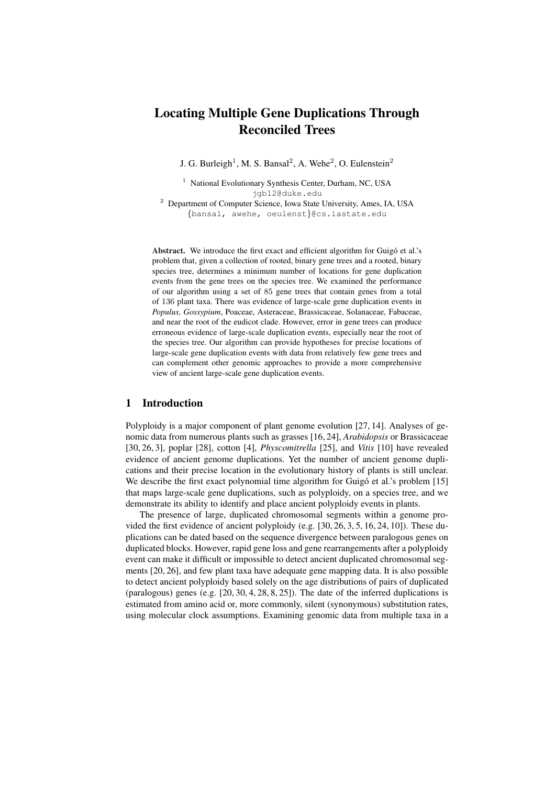# Locating Multiple Gene Duplications Through Reconciled Trees

J. G. Burleigh<sup>1</sup>, M. S. Bansal<sup>2</sup>, A. Wehe<sup>2</sup>, O. Eulenstein<sup>2</sup>

<sup>1</sup> National Evolutionary Synthesis Center, Durham, NC, USA jgb12@duke.edu

<sup>2</sup> Department of Computer Science, Iowa State University, Ames, IA, USA {bansal, awehe, oeulenst}@cs.iastate.edu

Abstract. We introduce the first exact and efficient algorithm for Guigó et al.'s problem that, given a collection of rooted, binary gene trees and a rooted, binary species tree, determines a minimum number of locations for gene duplication events from the gene trees on the species tree. We examined the performance of our algorithm using a set of 85 gene trees that contain genes from a total of 136 plant taxa. There was evidence of large-scale gene duplication events in *Populus, Gossypium*, Poaceae, Asteraceae, Brassicaceae, Solanaceae, Fabaceae, and near the root of the eudicot clade. However, error in gene trees can produce erroneous evidence of large-scale duplication events, especially near the root of the species tree. Our algorithm can provide hypotheses for precise locations of large-scale gene duplication events with data from relatively few gene trees and can complement other genomic approaches to provide a more comprehensive view of ancient large-scale gene duplication events.

## 1 Introduction

Polyploidy is a major component of plant genome evolution [27, 14]. Analyses of genomic data from numerous plants such as grasses [16, 24], *Arabidopsis* or Brassicaceae [30, 26, 3], poplar [28], cotton [4], *Physcomitrella* [25], and *Vitis* [10] have revealed evidence of ancient genome duplications. Yet the number of ancient genome duplications and their precise location in the evolutionary history of plants is still unclear. We describe the first exact polynomial time algorithm for Guigó et al.'s problem [15] that maps large-scale gene duplications, such as polyploidy, on a species tree, and we demonstrate its ability to identify and place ancient polyploidy events in plants.

The presence of large, duplicated chromosomal segments within a genome provided the first evidence of ancient polyploidy (e.g. [30, 26, 3, 5, 16, 24, 10]). These duplications can be dated based on the sequence divergence between paralogous genes on duplicated blocks. However, rapid gene loss and gene rearrangements after a polyploidy event can make it difficult or impossible to detect ancient duplicated chromosomal segments [20, 26], and few plant taxa have adequate gene mapping data. It is also possible to detect ancient polyploidy based solely on the age distributions of pairs of duplicated (paralogous) genes (e.g. [20, 30, 4, 28, 8, 25]). The date of the inferred duplications is estimated from amino acid or, more commonly, silent (synonymous) substitution rates, using molecular clock assumptions. Examining genomic data from multiple taxa in a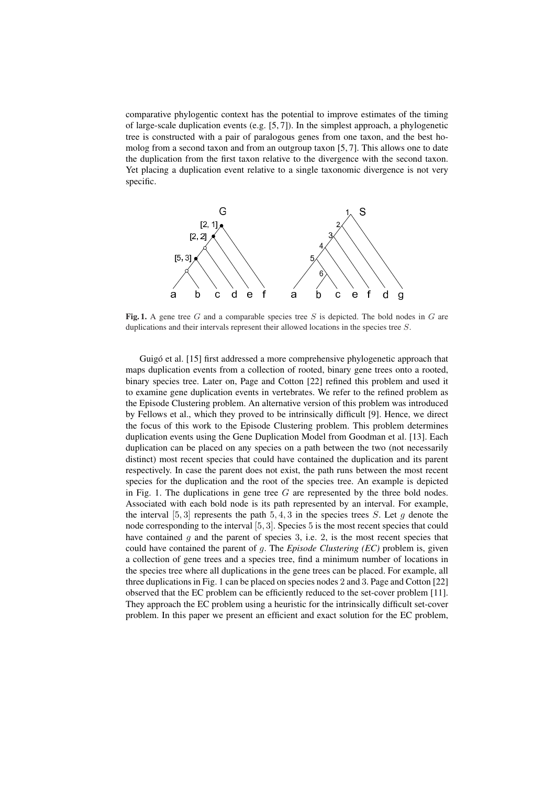comparative phylogentic context has the potential to improve estimates of the timing of large-scale duplication events (e.g. [5, 7]). In the simplest approach, a phylogenetic tree is constructed with a pair of paralogous genes from one taxon, and the best homolog from a second taxon and from an outgroup taxon [5, 7]. This allows one to date the duplication from the first taxon relative to the divergence with the second taxon. Yet placing a duplication event relative to a single taxonomic divergence is not very specific.



Fig. 1. A gene tree G and a comparable species tree S is depicted. The bold nodes in G are duplications and their intervals represent their allowed locations in the species tree S.

Guigó et al. [15] first addressed a more comprehensive phylogenetic approach that maps duplication events from a collection of rooted, binary gene trees onto a rooted, binary species tree. Later on, Page and Cotton [22] refined this problem and used it to examine gene duplication events in vertebrates. We refer to the refined problem as the Episode Clustering problem. An alternative version of this problem was introduced by Fellows et al., which they proved to be intrinsically difficult [9]. Hence, we direct the focus of this work to the Episode Clustering problem. This problem determines duplication events using the Gene Duplication Model from Goodman et al. [13]. Each duplication can be placed on any species on a path between the two (not necessarily distinct) most recent species that could have contained the duplication and its parent respectively. In case the parent does not exist, the path runs between the most recent species for the duplication and the root of the species tree. An example is depicted in Fig. 1. The duplications in gene tree  $G$  are represented by the three bold nodes. Associated with each bold node is its path represented by an interval. For example, the interval [5, 3] represents the path 5, 4, 3 in the species trees S. Let g denote the node corresponding to the interval [5, 3]. Species 5 is the most recent species that could have contained  $g$  and the parent of species 3, i.e. 2, is the most recent species that could have contained the parent of g. The *Episode Clustering (EC)* problem is, given a collection of gene trees and a species tree, find a minimum number of locations in the species tree where all duplications in the gene trees can be placed. For example, all three duplications in Fig. 1 can be placed on species nodes 2 and 3. Page and Cotton [22] observed that the EC problem can be efficiently reduced to the set-cover problem [11]. They approach the EC problem using a heuristic for the intrinsically difficult set-cover problem. In this paper we present an efficient and exact solution for the EC problem,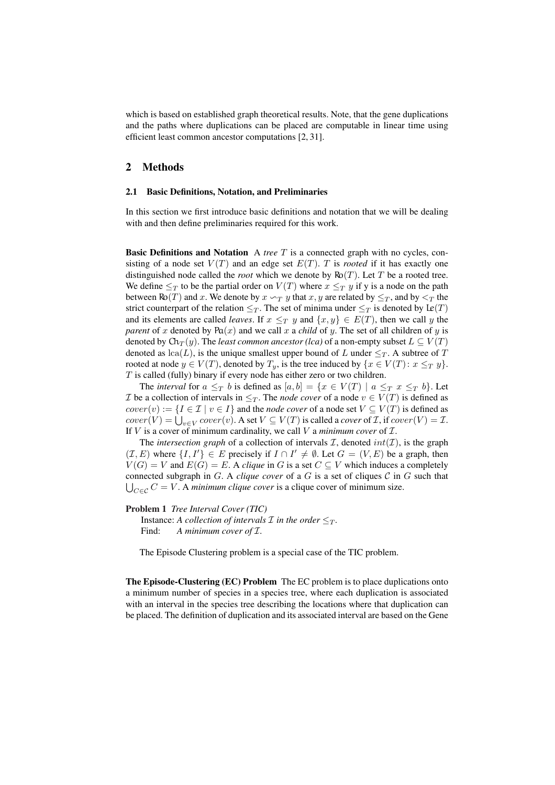which is based on established graph theoretical results. Note, that the gene duplications and the paths where duplications can be placed are computable in linear time using efficient least common ancestor computations [2, 31].

## 2 Methods

#### 2.1 Basic Definitions, Notation, and Preliminaries

In this section we first introduce basic definitions and notation that we will be dealing with and then define preliminaries required for this work.

Basic Definitions and Notation A *tree* T is a connected graph with no cycles, consisting of a node set  $V(T)$  and an edge set  $E(T)$ . T is *rooted* if it has exactly one distinguished node called the *root* which we denote by  $\text{Ro}(T)$ . Let T be a rooted tree. We define  $\leq_T$  to be the partial order on  $V(T)$  where  $x \leq_T y$  if y is a node on the path between  $\text{Ro}(T)$  and x. We denote by  $x \leadsto_T y$  that  $x, y$  are related by  $\leq_T$ , and by  $\leq_T$  the strict counterpart of the relation  $\leq_T$ . The set of minima under  $\leq_T$  is denoted by Le(T) and its elements are called *leaves*. If  $x \leq_T y$  and  $\{x, y\} \in E(T)$ , then we call y the *parent* of x denoted by  $Pa(x)$  and we call x a *child* of y. The set of all children of y is denoted by  $\text{Ch}_T(y)$ . The *least common ancestor (lca)* of a non-empty subset  $L \subseteq V(T)$ denoted as  $lca(L)$ , is the unique smallest upper bound of L under  $\leq_T$ . A subtree of T rooted at node  $y \in V(T)$ , denoted by  $T_y$ , is the tree induced by  $\{x \in V(T) : x \leq_T y\}$ .  $T$  is called (fully) binary if every node has either zero or two children.

The *interval* for  $a \leq_T b$  is defined as  $[a, b] = \{x \in V(T) \mid a \leq_T x \leq_T b\}$ . Let *I* be a collection of intervals in  $\leq_T$ . The *node cover* of a node  $v \in V(T)$  is defined as  $cover(v) := \{I \in \mathcal{I} \mid v \in I\}$  and the *node cover* of a node set  $V \subseteq V(T)$  is defined as  $cover(v) := \{1 \in L \mid v \in T\}$  and the *node cover* of a node set  $V \subseteq V(T)$  is defined as  $cover(V) = \bigcup_{v \in V} cover(v)$ . A set  $V \subseteq V(T)$  is called a *cover* of *I*, if  $cover(V) = I$ . If  $V$  is a cover of minimum cardinality, we call  $V$  a *minimum cover* of  $I$ .

The *intersection graph* of a collection of intervals  $I$ , denoted  $int(I)$ , is the graph  $(\mathcal{I}, E)$  where  $\{I, I'\} \in E$  precisely if  $I \cap I' \neq \emptyset$ . Let  $G = (V, E)$  be a graph, then  $V(G) = V$  and  $E(G) = E$ . A *clique* in G is a set  $C \subseteq V$  which induces a completely connected subgraph in  $G$ . A *clique cover* of a  $G$  is a set of cliques  $C$  in  $G$  such that  $\bigcup_{C \subseteq C} C = V$ . A *minimum clique cover* is a clique cover of minimum size.

#### Problem 1 *Tree Interval Cover (TIC)*

Instance: *A collection of intervals*  $\mathcal I$  *in the order*  $\leq_T$ *.* Find: A minimum cover of  $I$ .

The Episode Clustering problem is a special case of the TIC problem.

The Episode-Clustering (EC) Problem The EC problem is to place duplications onto a minimum number of species in a species tree, where each duplication is associated with an interval in the species tree describing the locations where that duplication can be placed. The definition of duplication and its associated interval are based on the Gene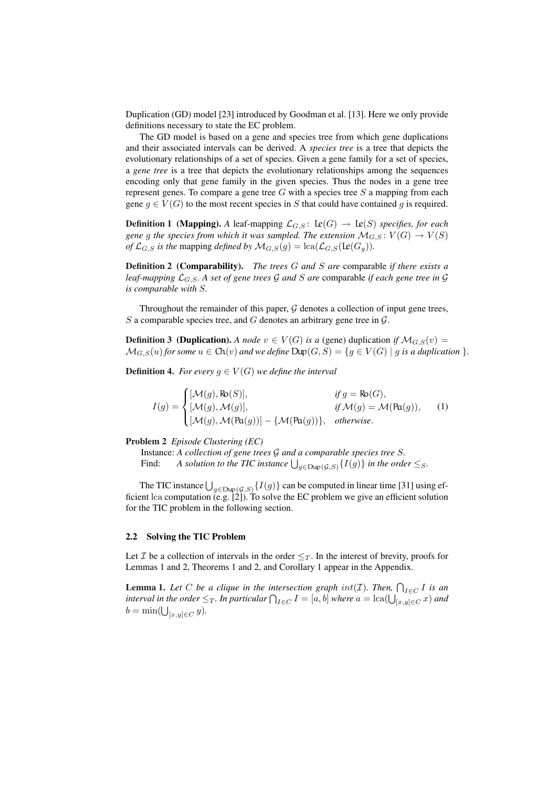Duplication (GD) model [23] introduced by Goodman et al. [13]. Here we only provide definitions necessary to state the EC problem.

The GD model is based on a gene and species tree from which gene duplications and their associated intervals can be derived. A *species tree* is a tree that depicts the evolutionary relationships of a set of species. Given a gene family for a set of species, a *gene tree* is a tree that depicts the evolutionary relationships among the sequences encoding only that gene family in the given species. Thus the nodes in a gene tree represent genes. To compare a gene tree  $G$  with a species tree  $S$  a mapping from each gene  $q \in V(G)$  to the most recent species in S that could have contained q is required.

**Definition 1 (Mapping).** *A* leaf-mapping  $\mathcal{L}_{G,S}$ :  $\text{Le}(G) \rightarrow \text{Le}(S)$  *specifies, for each gene* g the species from which it was sampled. The extension  $\mathcal{M}_{G,S}: V(G) \to V(S)$ *of*  $\mathcal{L}_{G,S}$  *is the mapping defined by*  $\mathcal{M}_{G,S}(g) = \text{lca}(\mathcal{L}_{G,S}(\text{Le}(G_g)))$ .

Definition 2 (Comparability). *The trees* G *and* S *are* comparable *if there exists a leaf-mapping*  $\mathcal{L}_{G,S}$ . A set of gene trees  $\mathcal G$  and  $S$  are comparable if each gene tree in  $\mathcal G$ *is comparable with* S*.*

Throughout the remainder of this paper,  $G$  denotes a collection of input gene trees, S a comparable species tree, and G denotes an arbitrary gene tree in  $\mathcal{G}$ .

**Definition 3** (Duplication). A node  $v \in V(G)$  is a (gene) duplication if  $\mathcal{M}_{G,S}(v)$  =  $\mathcal{M}_{G,S}(u)$  for some  $u \in \text{Ch}(v)$  and we define  $\text{Dup}(G, S) = \{g \in V(G) \mid g \text{ is a duplication }\}.$ 

**Definition 4.** *For every*  $g \in V(G)$  *we define the interval* 

 $I(g) =$  $\overline{a}$  $\sqrt{ }$  $\mathcal{L}$  $[\mathcal{M}(g), \mathsf{Ro}(S)],$  *if*  $g = \mathsf{Ro}(G),$  $[\mathcal{M}(g), \mathcal{M}(g)],$  *if*  $\mathcal{M}(g) = \mathcal{M}(\text{Pa}(g)),$  $[\mathcal{M}(g), \mathcal{M}(\text{Pa}(g))] - \{\mathcal{M}(\text{Pa}(g))\}, \text{ otherwise.}$ (1)

Problem 2 *Episode Clustering (EC)*

Instance: *A collection of gene trees* G *and a comparable species tree* S*.* Find: *A collection of gene trees*  $\mathcal G$  and a comparable species tree  $\mathcal S$ .<br>Find: *A solution to the TIC instance*  $\bigcup_{g \in \text{Dup}(\mathcal G,\mathcal S)} \{I(g)\}$  in the order  $\leq_{S}$ .

The TIC instance  $\bigcup_{g \in \text{Dup}(\mathcal{G},S)} \{I(g)\}\)$  can be computed in linear time [31] using efficient lca computation (e.g. [2]). To solve the EC problem we give an efficient solution for the TIC problem in the following section.

#### 2.2 Solving the TIC Problem

Let *I* be a collection of intervals in the order  $\leq_T$ . In the interest of brevity, proofs for Lemmas 1 and 2, Theorems 1 and 2, and Corollary 1 appear in the Appendix.

**Lemma 1.** Let C be a clique in the intersection graph  $int(\mathcal{I})$ . Then,  $\bigcap_{I \in C} I$  is an **i** *interval in the order*  $\leq_T$ . In particular  $\bigcap_{I \in C} I = [a, b]$  where  $a = \text{lca}(\bigcup_{[x,y] \in C} x)$  and interval in the order  $\leq_T$ . In particular  $\bigcap_{I \in C} I = [a, b]$  where  $a = \text{lca}(\bigcup_{[x,y] \in C} x)$  and  $b = \min(\bigcup_{[x,y]\in C} y).$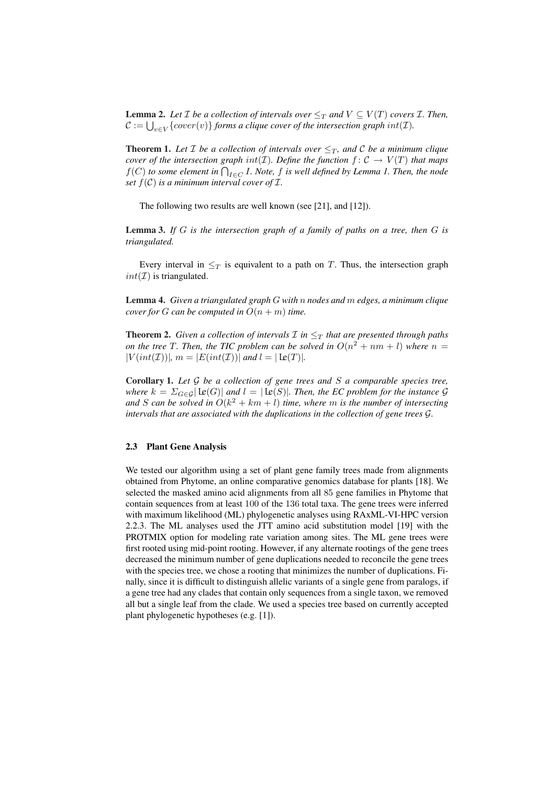**Lemma 2.** Let *I* be a collection of intervals over  $\leq_T$  and  $V \subseteq V(T)$  covers *I*. Then, **C** :=  $\bigcup_{v \in V} \{cover(v)\}$  *forms a clique cover of the intersection graph int(T).* 

**Theorem 1.** Let *T* be a collection of intervals over  $\leq_T$ , and *C* be a minimum clique *cover of the intersection graph int(T). Define the function*  $f: \mathcal{C} \to V(T)$  *that maps*  $f(C)$  to some element in  $\bigcap_{I \in C} I$ . Note, f is well defined by Lemma 1. Then, the node *set*  $f(\mathcal{C})$  *is a minimum interval cover of I.* 

The following two results are well known (see [21], and [12]).

Lemma 3. *If* G *is the intersection graph of a family of paths on a tree, then* G *is triangulated.*

Every interval in  $\leq_T$  is equivalent to a path on T. Thus, the intersection graph  $int(\mathcal{I})$  is triangulated.

Lemma 4. *Given a triangulated graph* G *with* n *nodes and* m *edges, a minimum clique cover for G can be computed in*  $O(n + m)$  *time.* 

**Theorem 2.** *Given a collection of intervals*  $\mathcal{I}$  *in*  $\leq_T$  *that are presented through paths on the tree T. Then, the TIC problem can be solved in*  $O(n^2 + nm + l)$  where  $n =$  $|V(int(\mathcal{I}))|, m = |E(int(\mathcal{I}))|$  *and*  $l = | \mathbf{L}e(T) |$ *.* 

Corollary 1. *Let* G *be a collection of gene trees and* S *a comparable species tree, where*  $k = \sum_{G \in \mathcal{G}} | \mathbf{L}e(G) |$  *and*  $l = | \mathbf{L}e(S) |$ *. Then, the EC problem for the instance*  $\mathcal{G}$ and *S* can be solved in  $O(k^2 + km + l)$  *time, where* m *is the number of intersecting intervals that are associated with the duplications in the collection of gene trees* G*.*

#### 2.3 Plant Gene Analysis

We tested our algorithm using a set of plant gene family trees made from alignments obtained from Phytome, an online comparative genomics database for plants [18]. We selected the masked amino acid alignments from all 85 gene families in Phytome that contain sequences from at least 100 of the 136 total taxa. The gene trees were inferred with maximum likelihood (ML) phylogenetic analyses using RAxML-VI-HPC version 2.2.3. The ML analyses used the JTT amino acid substitution model [19] with the PROTMIX option for modeling rate variation among sites. The ML gene trees were first rooted using mid-point rooting. However, if any alternate rootings of the gene trees decreased the minimum number of gene duplications needed to reconcile the gene trees with the species tree, we chose a rooting that minimizes the number of duplications. Finally, since it is difficult to distinguish allelic variants of a single gene from paralogs, if a gene tree had any clades that contain only sequences from a single taxon, we removed all but a single leaf from the clade. We used a species tree based on currently accepted plant phylogenetic hypotheses (e.g. [1]).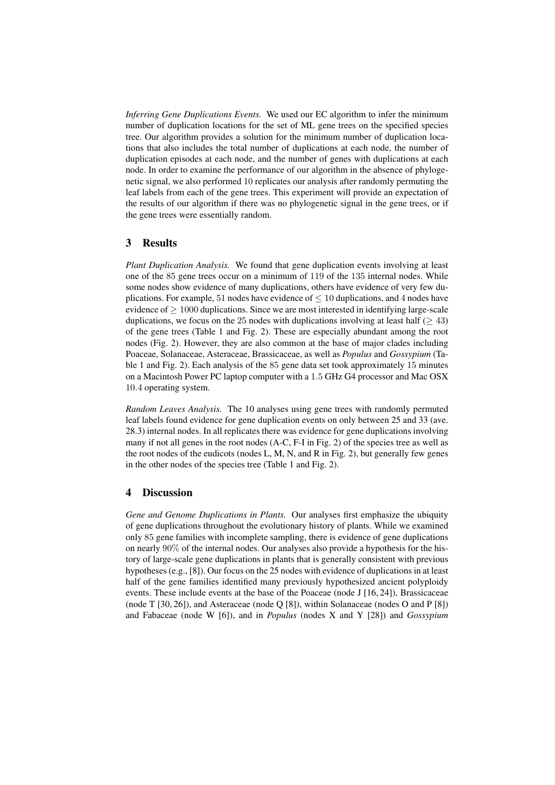*Inferring Gene Duplications Events.* We used our EC algorithm to infer the minimum number of duplication locations for the set of ML gene trees on the specified species tree. Our algorithm provides a solution for the minimum number of duplication locations that also includes the total number of duplications at each node, the number of duplication episodes at each node, and the number of genes with duplications at each node. In order to examine the performance of our algorithm in the absence of phylogenetic signal, we also performed 10 replicates our analysis after randomly permuting the leaf labels from each of the gene trees. This experiment will provide an expectation of the results of our algorithm if there was no phylogenetic signal in the gene trees, or if the gene trees were essentially random.

### 3 Results

*Plant Duplication Analysis.* We found that gene duplication events involving at least one of the 85 gene trees occur on a minimum of 119 of the 135 internal nodes. While some nodes show evidence of many duplications, others have evidence of very few duplications. For example, 51 nodes have evidence of  $\leq 10$  duplications, and 4 nodes have evidence of  $\geq 1000$  duplications. Since we are most interested in identifying large-scale duplications, we focus on the 25 nodes with duplications involving at least half ( $\geq$  43) of the gene trees (Table 1 and Fig. 2). These are especially abundant among the root nodes (Fig. 2). However, they are also common at the base of major clades including Poaceae, Solanaceae, Asteraceae, Brassicaceae, as well as *Populus* and *Gossypium* (Table 1 and Fig. 2). Each analysis of the 85 gene data set took approximately 15 minutes on a Macintosh Power PC laptop computer with a 1.5 GHz G4 processor and Mac OSX 10.4 operating system.

*Random Leaves Analysis.* The 10 analyses using gene trees with randomly permuted leaf labels found evidence for gene duplication events on only between 25 and 33 (ave. 28.3) internal nodes. In all replicates there was evidence for gene duplications involving many if not all genes in the root nodes (A-C, F-I in Fig. 2) of the species tree as well as the root nodes of the eudicots (nodes L, M, N, and R in Fig. 2), but generally few genes in the other nodes of the species tree (Table 1 and Fig. 2).

#### 4 Discussion

*Gene and Genome Duplications in Plants.* Our analyses first emphasize the ubiquity of gene duplications throughout the evolutionary history of plants. While we examined only 85 gene families with incomplete sampling, there is evidence of gene duplications on nearly 90% of the internal nodes. Our analyses also provide a hypothesis for the history of large-scale gene duplications in plants that is generally consistent with previous hypotheses (e.g., [8]). Our focus on the 25 nodes with evidence of duplications in at least half of the gene families identified many previously hypothesized ancient polyploidy events. These include events at the base of the Poaceae (node J [16, 24]), Brassicaceae (node T [30, 26]), and Asteraceae (node Q [8]), within Solanaceae (nodes O and P [8]) and Fabaceae (node W [6]), and in *Populus* (nodes X and Y [28]) and *Gossypium*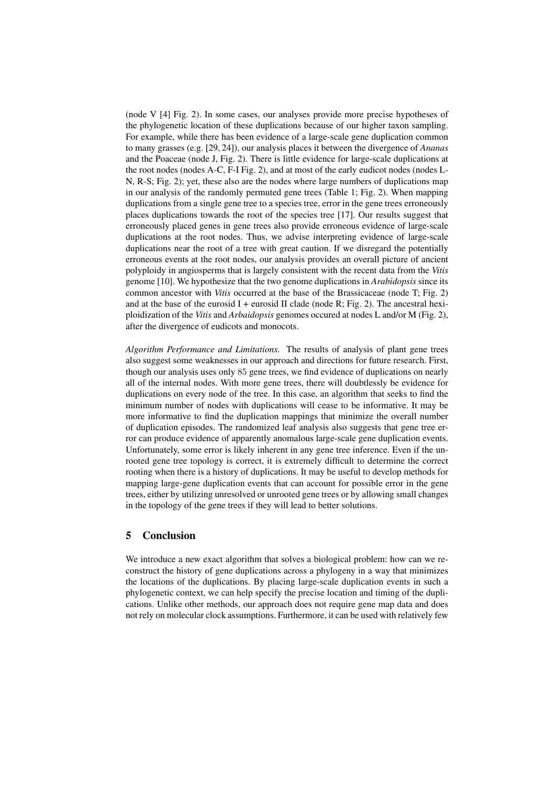(node V [4] Fig. 2). In some cases, our analyses provide more precise hypotheses of the phylogenetic location of these duplications because of our higher taxon sampling. For example, while there has been evidence of a large-scale gene duplication common to many grasses (e.g. [29, 24]), our analysis places it between the divergence of *Ananas* and the Poaceae (node J, Fig. 2). There is little evidence for large-scale duplications at the root nodes (nodes A-C, F-I Fig. 2), and at most of the early eudicot nodes (nodes L-N, R-S; Fig. 2); yet, these also are the nodes where large numbers of duplications map in our analysis of the randomly permuted gene trees (Table 1; Fig. 2). When mapping duplications from a single gene tree to a species tree, error in the gene trees erroneously places duplications towards the root of the species tree [17]. Our results suggest that erroneously placed genes in gene trees also provide erroneous evidence of large-scale duplications at the root nodes. Thus, we advise interpreting evidence of large-scale duplications near the root of a tree with great caution. If we disregard the potentially erroneous events at the root nodes, our analysis provides an overall picture of ancient polyploidy in angiosperms that is largely consistent with the recent data from the *Vitis* genome [10]. We hypothesize that the two genome duplications in *Arabidopsis* since its common ancestor with *Vitis* occurred at the base of the Brassicaceae (node T; Fig. 2) and at the base of the eurosid I + eurosid II clade (node R; Fig. 2). The ancestral hexiploidization of the *Vitis* and *Arbaidopsis* genomes occured at nodes L and/or M (Fig. 2), after the divergence of eudicots and monocots.

*Algorithm Performance and Limitations.* The results of analysis of plant gene trees also suggest some weaknesses in our approach and directions for future research. First, though our analysis uses only 85 gene trees, we find evidence of duplications on nearly all of the internal nodes. With more gene trees, there will doubtlessly be evidence for duplications on every node of the tree. In this case, an algorithm that seeks to find the minimum number of nodes with duplications will cease to be informative. It may be more informative to find the duplication mappings that minimize the overall number of duplication episodes. The randomized leaf analysis also suggests that gene tree error can produce evidence of apparently anomalous large-scale gene duplication events. Unfortunately, some error is likely inherent in any gene tree inference. Even if the unrooted gene tree topology is correct, it is extremely difficult to determine the correct rooting when there is a history of duplications. It may be useful to develop methods for mapping large-gene duplication events that can account for possible error in the gene trees, either by utilizing unresolved or unrooted gene trees or by allowing small changes in the topology of the gene trees if they will lead to better solutions.

## 5 Conclusion

We introduce a new exact algorithm that solves a biological problem: how can we reconstruct the history of gene duplications across a phylogeny in a way that minimizes the locations of the duplications. By placing large-scale duplication events in such a phylogenetic context, we can help specify the precise location and timing of the duplications. Unlike other methods, our approach does not require gene map data and does not rely on molecular clock assumptions. Furthermore, it can be used with relatively few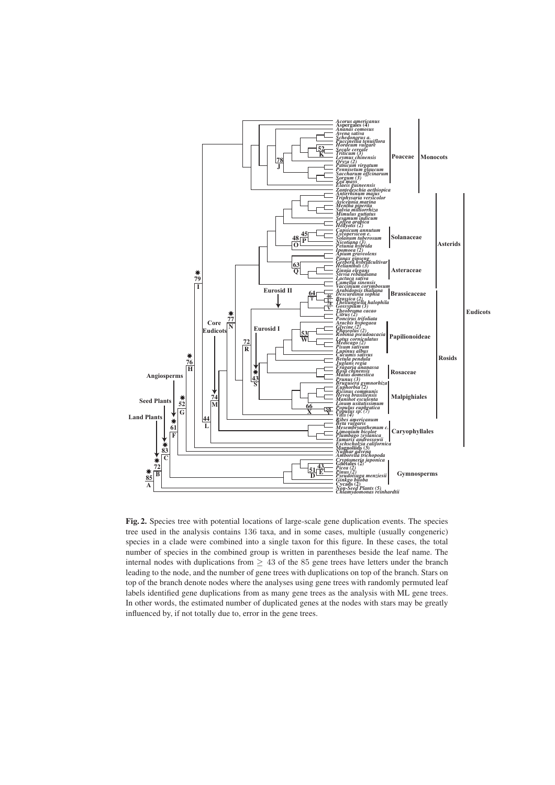

Fig. 2. Species tree with potential locations of large-scale gene duplication events. The species tree used in the analysis contains 136 taxa, and in some cases, multiple (usually congeneric) species in a clade were combined into a single taxon for this figure. In these cases, the total number of species in the combined group is written in parentheses beside the leaf name. The internal nodes with duplications from  $> 43$  of the 85 gene trees have letters under the branch leading to the node, and the number of gene trees with duplications on top of the branch. Stars on top of the branch denote nodes where the analyses using gene trees with randomly permuted leaf labels identified gene duplications from as many gene trees as the analysis with ML gene trees. In other words, the estimated number of duplicated genes at the nodes with stars may be greatly influenced by, if not totally due to, error in the gene trees.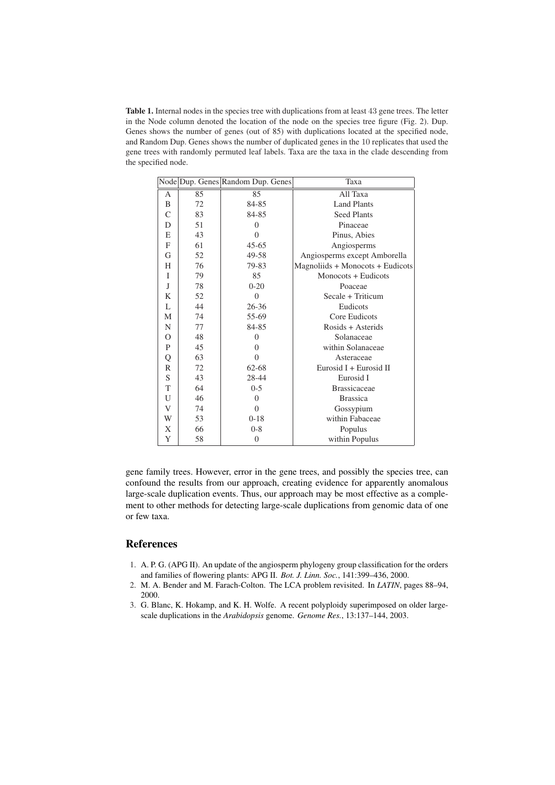Table 1. Internal nodes in the species tree with duplications from at least 43 gene trees. The letter in the Node column denoted the location of the node on the species tree figure (Fig. 2). Dup. Genes shows the number of genes (out of 85) with duplications located at the specified node, and Random Dup. Genes shows the number of duplicated genes in the 10 replicates that used the gene trees with randomly permuted leaf labels. Taxa are the taxa in the clade descending from the specified node.

|               |    | Node Dup. Genes Random Dup. Genes | Taxa                             |
|---------------|----|-----------------------------------|----------------------------------|
| A             | 85 | 85                                | All Taxa                         |
| B             | 72 | 84-85                             | <b>Land Plants</b>               |
| $\mathcal{C}$ | 83 | 84-85                             | <b>Seed Plants</b>               |
| D             | 51 | $\Omega$                          | Pinaceae                         |
| E             | 43 | $\theta$                          | Pinus, Abies                     |
| $\mathbf{F}$  | 61 | $45 - 65$                         | Angiosperms                      |
| G             | 52 | 49-58                             | Angiosperms except Amborella     |
| H             | 76 | 79-83                             | Magnoliids + Monocots + Eudicots |
| $\mathbf{I}$  | 79 | 85                                | Monocots + Eudicots              |
| J             | 78 | $0 - 20$                          | Poaceae                          |
| K             | 52 | $\Omega$                          | Secale + Triticum                |
| $\mathbf{L}$  | 44 | $26 - 36$                         | Eudicots                         |
| M             | 74 | 55-69                             | Core Eudicots                    |
| N             | 77 | 84-85                             | Rosids + Asterids                |
| O             | 48 | $\Omega$                          | Solanaceae                       |
| P             | 45 | $\Omega$                          | within Solanaceae                |
| Q             | 63 | $\Omega$                          | Asteraceae                       |
| $\mathbb{R}$  | 72 | 62-68                             | Eurosid $I + Eurosid II$         |
| S             | 43 | 28-44                             | Eurosid I                        |
| T             | 64 | $0 - 5$                           | <b>Brassicaceae</b>              |
| U             | 46 | $\Omega$                          | <b>Brassica</b>                  |
| V             | 74 | $\Omega$                          | Gossypium                        |
| W             | 53 | $0 - 18$                          | within Fabaceae                  |
| X             | 66 | $0 - 8$                           | Populus                          |
| Y             | 58 | 0                                 | within Populus                   |

gene family trees. However, error in the gene trees, and possibly the species tree, can confound the results from our approach, creating evidence for apparently anomalous large-scale duplication events. Thus, our approach may be most effective as a complement to other methods for detecting large-scale duplications from genomic data of one or few taxa.

## References

- 1. A. P. G. (APG II). An update of the angiosperm phylogeny group classification for the orders and families of flowering plants: APG II. *Bot. J. Linn. Soc.*, 141:399–436, 2000.
- 2. M. A. Bender and M. Farach-Colton. The LCA problem revisited. In *LATIN*, pages 88–94, 2000.
- 3. G. Blanc, K. Hokamp, and K. H. Wolfe. A recent polyploidy superimposed on older largescale duplications in the *Arabidopsis* genome. *Genome Res.*, 13:137–144, 2003.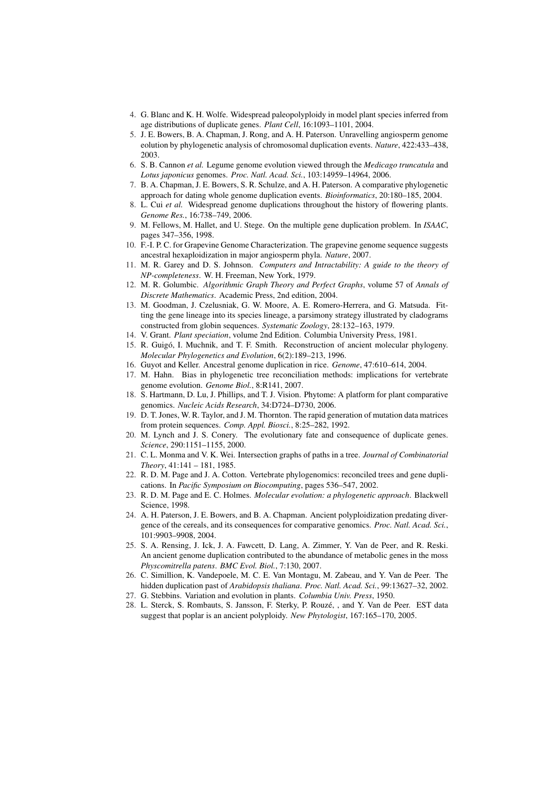- 4. G. Blanc and K. H. Wolfe. Widespread paleopolyploidy in model plant species inferred from age distributions of duplicate genes. *Plant Cell*, 16:1093–1101, 2004.
- 5. J. E. Bowers, B. A. Chapman, J. Rong, and A. H. Paterson. Unravelling angiosperm genome eolution by phylogenetic analysis of chromosomal duplication events. *Nature*, 422:433–438, 2003.
- 6. S. B. Cannon *et al.* Legume genome evolution viewed through the *Medicago truncatula* and *Lotus japonicus* genomes. *Proc. Natl. Acad. Sci.*, 103:14959–14964, 2006.
- 7. B. A. Chapman, J. E. Bowers, S. R. Schulze, and A. H. Paterson. A comparative phylogenetic approach for dating whole genome duplication events. *Bioinformatics*, 20:180–185, 2004.
- 8. L. Cui *et al.* Widespread genome duplications throughout the history of flowering plants. *Genome Res.*, 16:738–749, 2006.
- 9. M. Fellows, M. Hallet, and U. Stege. On the multiple gene duplication problem. In *ISAAC*, pages 347–356, 1998.
- 10. F.-I. P. C. for Grapevine Genome Characterization. The grapevine genome sequence suggests ancestral hexaploidization in major angiosperm phyla. *Nature*, 2007.
- 11. M. R. Garey and D. S. Johnson. *Computers and Intractability: A guide to the theory of NP-completeness*. W. H. Freeman, New York, 1979.
- 12. M. R. Golumbic. *Algorithmic Graph Theory and Perfect Graphs*, volume 57 of *Annals of Discrete Mathematics*. Academic Press, 2nd edition, 2004.
- 13. M. Goodman, J. Czelusniak, G. W. Moore, A. E. Romero-Herrera, and G. Matsuda. Fitting the gene lineage into its species lineage, a parsimony strategy illustrated by cladograms constructed from globin sequences. *Systematic Zoology*, 28:132–163, 1979.
- 14. V. Grant. *Plant speciation*, volume 2nd Edition. Columbia University Press, 1981.
- 15. R. Guigo, I. Muchnik, and T. F. Smith. Reconstruction of ancient molecular phylogeny. ´ *Molecular Phylogenetics and Evolution*, 6(2):189–213, 1996.
- 16. Guyot and Keller. Ancestral genome duplication in rice. *Genome*, 47:610–614, 2004.
- 17. M. Hahn. Bias in phylogenetic tree reconciliation methods: implications for vertebrate genome evolution. *Genome Biol.*, 8:R141, 2007.
- 18. S. Hartmann, D. Lu, J. Phillips, and T. J. Vision. Phytome: A platform for plant comparative genomics. *Nucleic Acids Research*, 34:D724–D730, 2006.
- 19. D. T. Jones, W. R. Taylor, and J. M. Thornton. The rapid generation of mutation data matrices from protein sequences. *Comp. Appl. Biosci.*, 8:25–282, 1992.
- 20. M. Lynch and J. S. Conery. The evolutionary fate and consequence of duplicate genes. *Science*, 290:1151–1155, 2000.
- 21. C. L. Monma and V. K. Wei. Intersection graphs of paths in a tree. *Journal of Combinatorial Theory*, 41:141 – 181, 1985.
- 22. R. D. M. Page and J. A. Cotton. Vertebrate phylogenomics: reconciled trees and gene duplications. In *Pacific Symposium on Biocomputing*, pages 536–547, 2002.
- 23. R. D. M. Page and E. C. Holmes. *Molecular evolution: a phylogenetic approach*. Blackwell Science, 1998.
- 24. A. H. Paterson, J. E. Bowers, and B. A. Chapman. Ancient polyploidization predating divergence of the cereals, and its consequences for comparative genomics. *Proc. Natl. Acad. Sci.*, 101:9903–9908, 2004.
- 25. S. A. Rensing, J. Ick, J. A. Fawcett, D. Lang, A. Zimmer, Y. Van de Peer, and R. Reski. An ancient genome duplication contributed to the abundance of metabolic genes in the moss *Physcomitrella patens*. *BMC Evol. Biol.*, 7:130, 2007.
- 26. C. Simillion, K. Vandepoele, M. C. E. Van Montagu, M. Zabeau, and Y. Van de Peer. The hidden duplication past of *Arabidopsis thaliana*. *Proc. Natl. Acad. Sci.*, 99:13627–32, 2002.
- 27. G. Stebbins. Variation and evolution in plants. *Columbia Univ. Press*, 1950.
- 28. L. Sterck, S. Rombauts, S. Jansson, F. Sterky, P. Rouze, , and Y. Van de Peer. EST data ´ suggest that poplar is an ancient polyploidy. *New Phytologist*, 167:165–170, 2005.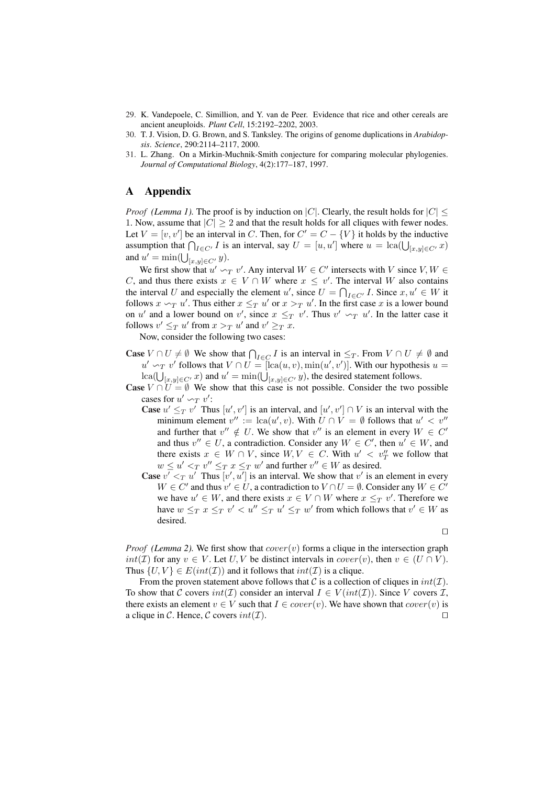- 29. K. Vandepoele, C. Simillion, and Y. van de Peer. Evidence that rice and other cereals are ancient aneuploids. *Plant Cell*, 15:2192–2202, 2003.
- 30. T. J. Vision, D. G. Brown, and S. Tanksley. The origins of genome duplications in *Arabidopsis*. *Science*, 290:2114–2117, 2000.
- 31. L. Zhang. On a Mirkin-Muchnik-Smith conjecture for comparing molecular phylogenies. *Journal of Computational Biology*, 4(2):177–187, 1997.

# A Appendix

*Proof* (Lemma 1). The proof is by induction on |C|. Clearly, the result holds for  $|C|$  < 1. Now, assume that  $|C| \geq 2$  and that the result holds for all cliques with fewer nodes. Let  $V = [v, v']$  be an interval in C. Then, for  $C' = C - \{V\}$  it holds by the inductive Let  $V = [v, v']$  be an interval in C. Then, for  $C = C - \{V\}$  it holds by the inductive assumption that  $\bigcap_{I \in C'} I$  is an interval, say  $U = [u, u']$  where  $u = \text{lc}(U_{[x,y] \in C'} x)$ and  $u' = \min(\bigcup_{[x,y] \in C'} y)$ .

We first show that  $u' \sim_T v'$ . Any interval  $W \in C'$  intersects with V since  $V, W \in$ C, and thus there exists  $x \in V \cap W$  where  $x \leq v'$ . The interval W also contains the interval U and especially the element u', since  $U = \bigcap_{I \in C'} I$ . Since  $x, u' \in W$  it follows  $x \sim_T u'$ . Thus either  $x \leq_T u'$  or  $x >_T u'$ . In the first case x is a lower bound on u' and a lower bound on v', since  $x \leq_T v'$ . Thus  $v' \sim_T u'$ . In the latter case it follows  $v' \leq_T u'$  from  $x >_T u'$  and  $v' \geq_T x$ .

Now, consider the following two cases:

- **Case**  $V \cap U \neq \emptyset$  We show that  $\bigcap_{I \in C} I$  is an interval in  $\leq_T$ . From  $V \cap U \neq \emptyset$  and  $u' \sim_T v'$  follows that  $V \cap U = [lca(u, v), min(u', v')]$ . With our hypothesis  $u =$  $u \sim_T v$  follows that  $v \mid v = [\text{ca}(u, v), \text{min}(u, v)]$ . With our hypothes <br>  $\text{lea}(U_{[x,y] \in C'} x)$  and  $u' = \min(U_{[x,y] \in C'} y)$ , the desired statement follows.
- **Case**  $V \cap U = \emptyset$  We show that this case is not possible. Consider the two possible cases for  $u' \sim_T v'$ :
	- **Case**  $u' \leq_T v'$  Thus  $[u', v']$  is an interval, and  $[u', v'] \cap V$  is an interval with the minimum element  $v'' := \text{lca}(u', v)$ . With  $\overline{U} \cap \overline{V} = \emptyset$  follows that  $u' < v''$ and further that  $v'' \notin U$ . We show that  $v''$  is an element in every  $W \in C'$ and thus  $v'' \in U$ , a contradiction. Consider any  $W \in C'$ , then  $u' \in W$ , and there exists  $x \in W \cap V$ , since  $W, V \in C$ . With  $u' < v''_T$  we follow that  $w \leq u' \leq_T v'' \leq_T x \leq_T w'$  and further  $v'' \in W$  as desired.
	- **Case**  $v' <_T u'$  Thus  $[v', u']$  is an interval. We show that v' is an element in every  $W \in C'$  and thus  $v' \in U$ , a contradiction to  $V \cap U = \emptyset$ . Consider any  $W \in C'$ we have  $u' \in W$ , and there exists  $x \in V \cap W$  where  $x \leq_T v'$ . Therefore we have  $w \leq_T x \leq_T v' < u'' \leq_T u' \leq_T w'$  from which follows that  $v' \in W$  as desired.

 $\Box$ 

*Proof* (Lemma 2). We first show that  $cover(v)$  forms a clique in the intersection graph  $int(\mathcal{I})$  for any  $v \in V$ . Let U, V be distinct intervals in  $cover(v)$ , then  $v \in (U \cap V)$ . Thus  $\{U, V\} \in E(int(\mathcal{I}))$  and it follows that  $int(\mathcal{I})$  is a clique.

From the proven statement above follows that C is a collection of cliques in  $int(\mathcal{I})$ . To show that C covers  $int(\mathcal{I})$  consider an interval  $I \in V(int(\mathcal{I}))$ . Since V covers  $\mathcal{I}$ , there exists an element  $v \in V$  such that  $I \in cover(v)$ . We have shown that  $cover(v)$  is a clique in C. Hence, C covers  $int(\mathcal{I})$ .